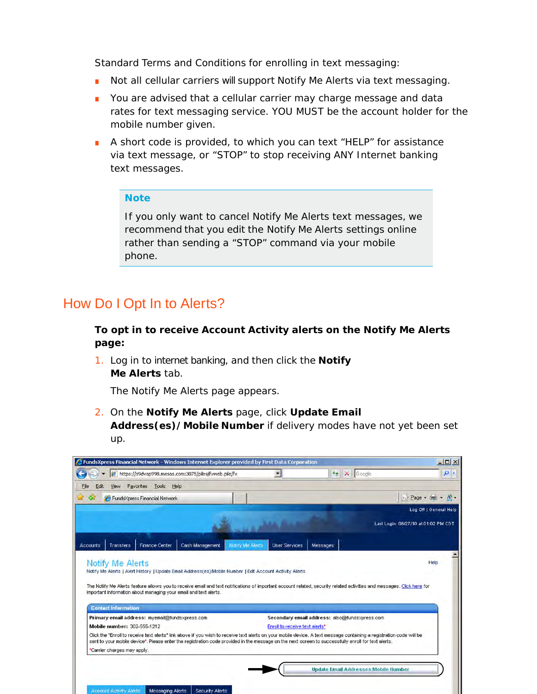Standard Terms and Conditions for enrolling in text messaging:

- Not all cellular carriers will support Notify Me Alerts via text messaging.
- You are advised that a cellular carrier may charge message and data rates for text messaging service. YOU MUST be the account holder for the mobile number given.
- A short code is provided, to which you can text "HELP" for assistance via text message, or "STOP" to stop receiving ANY Internet banking text messages.

#### **Note**

If you only want to cancel Notify Me Alerts text messages, we recommend that you edit the Notify Me Alerts settings online rather than sending a "STOP" command via your mobile phone.

### How Do I Opt In to Alerts?

**To opt in to receive Account Activity alerts on the Notify Me Alerts page:**

1. Log in to internet banking, and then click the **Notify Me Alerts** tab.

*The Notify Me Alerts page appears*.

2. On the **Notify Me Alerts** page, click **Update Email Address(es)/Mobile Number** if delivery modes have not yet been set up.

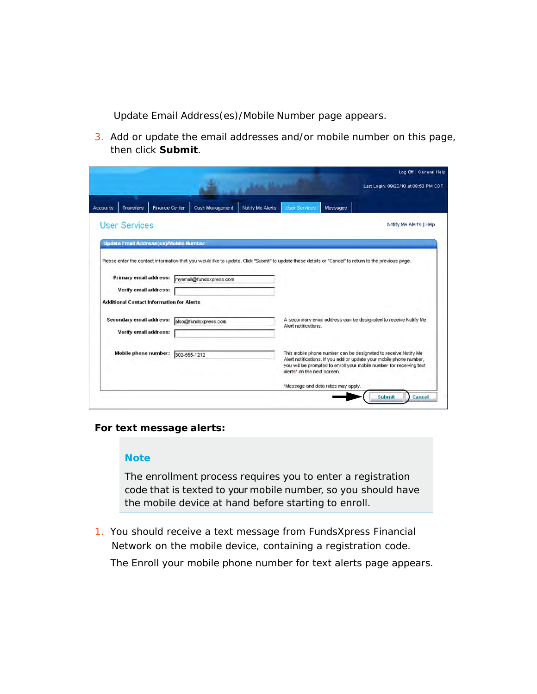*Update Email Address(es)/Mobile Number page appears.*

3. Add or update the email addresses and/or mobile number on this page, then click **Submit**.

|                                                  |                         |                                                                                                                                                        | Log Off   General Help                                                                                                                      |
|--------------------------------------------------|-------------------------|--------------------------------------------------------------------------------------------------------------------------------------------------------|---------------------------------------------------------------------------------------------------------------------------------------------|
|                                                  |                         |                                                                                                                                                        | Last Login: 09/20/10 at 08:53 PM CDT                                                                                                        |
| Finance Center<br>Transfers<br><b>Accounts</b>   | Cash Management         | <b>Liser Services</b><br>Notify Me Alerts<br>Messages                                                                                                  |                                                                                                                                             |
| <b>User Services</b>                             |                         |                                                                                                                                                        | Notify Me Alerts   Help                                                                                                                     |
| <b>Update Email Address(es) Mobile Number</b>    |                         |                                                                                                                                                        |                                                                                                                                             |
|                                                  |                         | Please enter the contact information that you would like to update. Click "Submit" to update these details or "Cancel" to return to the previous page. |                                                                                                                                             |
|                                                  |                         |                                                                                                                                                        |                                                                                                                                             |
| Primary email address:                           | myemail@fundsxpress.com |                                                                                                                                                        |                                                                                                                                             |
| Verify email address:                            |                         |                                                                                                                                                        |                                                                                                                                             |
| <b>Additional Contact Information for Alerts</b> |                         |                                                                                                                                                        |                                                                                                                                             |
| Secondary email address:                         | also@fundsxpress.com    |                                                                                                                                                        | A secondary email address can be designated to receive Notify Me                                                                            |
| Verify email address:                            |                         | Alert notifications.                                                                                                                                   |                                                                                                                                             |
| Mobile phone number:                             | 302-555-1212            | This mobile phone number can be designated to receive Notify Me                                                                                        |                                                                                                                                             |
|                                                  |                         | alerts' on the next screen.                                                                                                                            | Alert notifications. If you add or update your mobile phone number,<br>you will be prompted to enroll your mobile number for receiving text |

#### **For text message alerts:**

#### **Note**

The enrollment process requires you to enter a registration code that is texted to your mobile number, so you should have the mobile device at hand before starting to enroll.

1. You should receive a text message from FundsXpress Financial Network on the mobile device, containing a registration code. *The Enroll your mobile phone number for text alerts page appears*.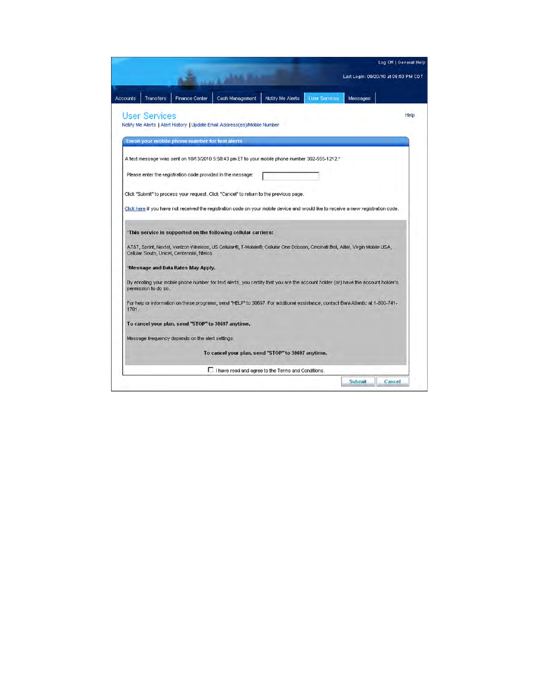|          |                      |                                                    |                                                                                                                                    |                  |                       |          | Log Off   General Help               |
|----------|----------------------|----------------------------------------------------|------------------------------------------------------------------------------------------------------------------------------------|------------------|-----------------------|----------|--------------------------------------|
|          |                      |                                                    |                                                                                                                                    |                  |                       |          | Last Login: 09/20/10 at 08:53 PM CDT |
| Accounts | Transfers            | Finance Center                                     | Cash Management                                                                                                                    | Notify Me Alerts | <b>Liser Services</b> | Messages |                                      |
|          | <b>User Services</b> |                                                    |                                                                                                                                    |                  |                       |          | Help                                 |
|          |                      |                                                    | Notify Me Alerts   Alert History   Update Email Address(es) Mobile Number                                                          |                  |                       |          |                                      |
|          |                      | Eriroll your mobile phone number for text alerts   |                                                                                                                                    |                  |                       |          |                                      |
|          |                      |                                                    | A text message was sent on 10/13/2010 5:58:43 pm ET to your mobile phone number 302-555-1212.*                                     |                  |                       |          |                                      |
|          |                      |                                                    | Please enter the registration code provided in the message:                                                                        |                  |                       |          |                                      |
|          |                      |                                                    | Click "Submit" to process your request. Click "Cancel" to return to the previous page.                                             |                  |                       |          |                                      |
|          |                      |                                                    | Click here if you have not received the registration code on your mobile device and would like to receive a new registration code. |                  |                       |          |                                      |
|          |                      |                                                    |                                                                                                                                    |                  |                       |          |                                      |
|          |                      |                                                    | 'This service is supported on the following cellular carriers:                                                                     |                  |                       |          |                                      |
|          |                      | Cellular South, Unicel, Centennial, Ntelos.        | AT&T, Sprint, Nextel, Verizon Wireless, US Cellular®, T-Mobile®, Cellular One Dobson, Cincinati Bell, Alltel, Virgin Mobile USA,   |                  |                       |          |                                      |
|          |                      | 'Message and Data Rates May Apply.                 |                                                                                                                                    |                  |                       |          |                                      |
|          | permission to do so. |                                                    | By enrolling your mobile phone number for text alerts, you certify that you are the account holder (or) have the account holder's  |                  |                       |          |                                      |
| 1701.    |                      |                                                    | For help or information on these programs, send "HELP" to 30697. For additional assistance, contact BankAtlantic at 1-800-741-     |                  |                       |          |                                      |
|          |                      | To cancel your plan, send "STOP" to 30697 anytime. |                                                                                                                                    |                  |                       |          |                                      |
|          |                      | Message frequency depends on the alert settings.   |                                                                                                                                    |                  |                       |          |                                      |
|          |                      |                                                    | To cancel your plan, send "STOP" to 30697 anytime.                                                                                 |                  |                       |          |                                      |
|          |                      |                                                    | I I have read and agree to the Terms and Conditions.                                                                               |                  |                       |          |                                      |
|          |                      |                                                    |                                                                                                                                    |                  |                       | Submit   | Cancel                               |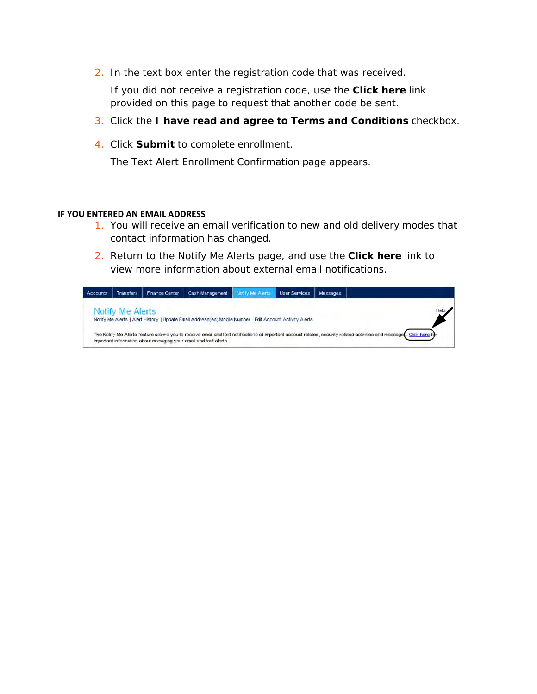2. In the text box enter the registration code that was received.

If you did not receive a registration code, use the **Click here** link provided on this page to request that another code be sent.

- 3. Click the **I have read and agree to Terms and Conditions** checkbox.
- 4. Click **Submit** to complete enrollment.

*The Text Alert Enrollment Confirmation page appears*.

#### **IF YOU ENTERED AN EMAIL ADDRESS**

- 1. You will receive an email verification to new and old delivery modes that contact information has changed.
- 2. Return to the Notify Me Alerts page, and use the **Click here** link to view more information about external email notifications.

| <b>Accounts</b> | <b>Transfers</b> | <b>Finance Center</b> | Cash Management                                                                                                                                                                                                                            | <b>Idify Me Alerts</b> | <b>User Services</b> | <b>Messages</b> |  |
|-----------------|------------------|-----------------------|--------------------------------------------------------------------------------------------------------------------------------------------------------------------------------------------------------------------------------------------|------------------------|----------------------|-----------------|--|
|                 | Notify Me Alerts |                       | Notify Me Alerts   Alert History   Update Email Address(es)/Mobile Number   Edit Account Activity Alerts                                                                                                                                   |                        |                      |                 |  |
|                 |                  |                       | The Notify Me Alerts feature allows you to receive email and text notifications of important account related, security related activities and messages. Click here for<br>important information about managing your email and text alerts. |                        |                      |                 |  |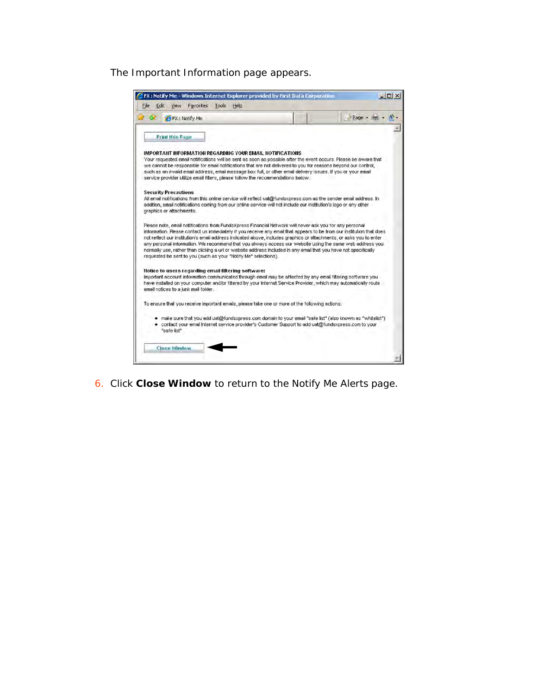#### *The Important Information page appears*.



6. Click **Close Window** to return to the Notify Me Alerts page.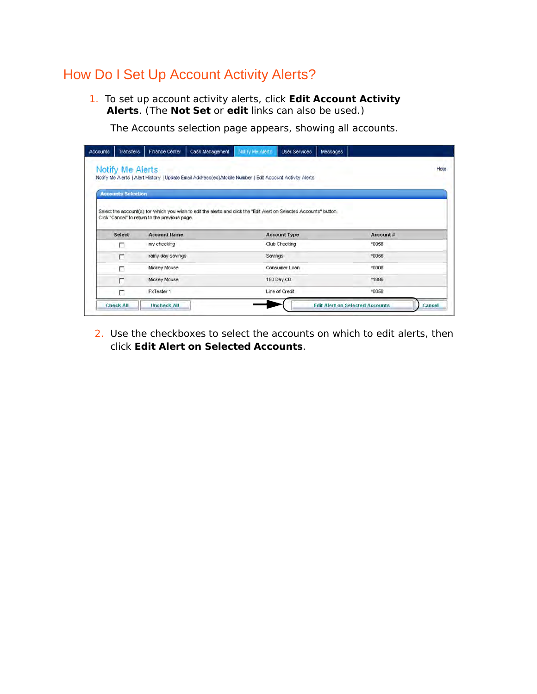# How Do I Set Up Account Activity Alerts?

 1. To set up account activity alerts, click **Edit Account Activity Alerts**. (The **Not Set** or **edit** links can also be used.)

*The Accounts selection page appears, showing all accounts*.

| Accounts | Transfers                 | Finance Center                                 | Cash Management                                                                                                     | <b>Notify Me Alerts</b> | <b>User Services</b> | Messages |           |      |
|----------|---------------------------|------------------------------------------------|---------------------------------------------------------------------------------------------------------------------|-------------------------|----------------------|----------|-----------|------|
|          | Notify Me Alerts          |                                                | Notify Me Alerts   Alert History   Update Email Address(es) Mobile Number   Edit Account Activity Alerts            |                         |                      |          |           | Help |
|          | <b>Accounts Selection</b> |                                                |                                                                                                                     |                         |                      |          |           |      |
|          |                           |                                                | Select the account(s) for which you wish to edit the alerts and click the "Edit Alert on Selected Accounts" button. |                         |                      |          |           |      |
|          |                           | Click "Cancel" to return to the previous page. |                                                                                                                     |                         |                      |          |           |      |
|          | Select                    | <b>Account Hame</b>                            |                                                                                                                     |                         | <b>Account Type</b>  |          | Account # |      |
|          | п                         | my checking                                    |                                                                                                                     |                         | Club Checking        |          | *0058     |      |
|          | г                         | rainy day savings                              |                                                                                                                     | Savings                 |                      |          | *0056     |      |
|          | □                         | Mickey Mouse                                   |                                                                                                                     |                         | Consumer Loan        |          | *0008     |      |
|          | г                         | Mickey Mouse                                   |                                                                                                                     |                         | 180 Day CD           |          | *1886     |      |
|          |                           |                                                |                                                                                                                     |                         |                      |          |           |      |
|          | г                         | FxTester 1                                     |                                                                                                                     |                         | Line of Credit       |          | *0058     |      |

2. Use the checkboxes to select the accounts on which to edit alerts, then click **Edit Alert on Selected Accounts**.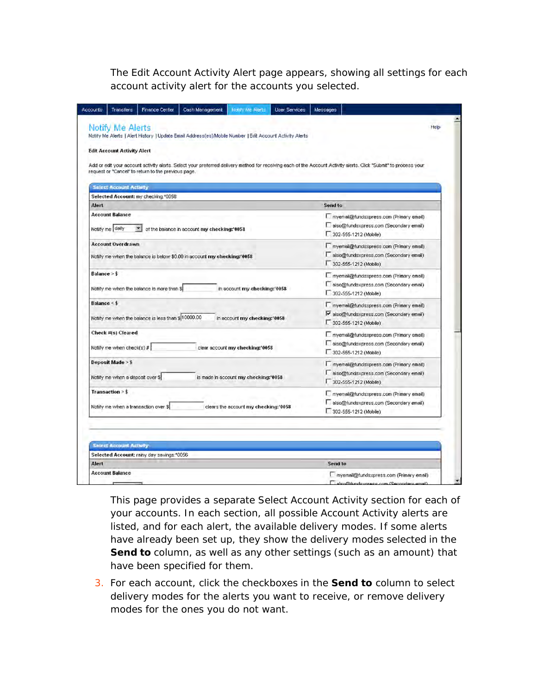*The Edit Account Activity Alert page appears, showing all settings for each account activity alert for the accounts you selected*.

| Notify Me Alerts   Alert History   Update Email Address(es)/Mobile Number   Edit Account Activity Alerts                                                                                                                 |                                                                                                             |
|--------------------------------------------------------------------------------------------------------------------------------------------------------------------------------------------------------------------------|-------------------------------------------------------------------------------------------------------------|
| <b>Edit Account Activity Alert</b>                                                                                                                                                                                       |                                                                                                             |
| Add or edit your account activity alerts. Select your preferred delivery method for receiving each of the Account Activity alerts. Click "Submit" to process your<br>request or "Cancel" to return to the previous page. |                                                                                                             |
| <b>Select Account Activity</b>                                                                                                                                                                                           |                                                                                                             |
| Selected Account: my checking:*0058                                                                                                                                                                                      |                                                                                                             |
| Alert                                                                                                                                                                                                                    | Send to                                                                                                     |
| <b>Account Balance</b><br>Notify me daily<br>of the balance in account my checking:'0058                                                                                                                                 | myemail@fundsxpress.com (Primary email)<br>also@fundsxpress.com (Secondary email)<br>302-555-1212 (Mobile)  |
| <b>Account Overdrawn</b><br>Notify me when the balance is below \$0.00 in account my checking:'0058                                                                                                                      | myemail@fundsxpress.com (Primary email)<br>also@fundsxpress.com (Secondary email)<br>302-555-1212 (Mobile)  |
| Balance > \$<br>Notify me when the balance is more than \$<br>in account my checking:'0058                                                                                                                               | myemail@fundsxpress.com (Primary email)<br>also@fundsxpress.com (Secondary email)<br>302-555-1212 (Mobile)  |
| Balance <<br>Notify me when the balance is less than \$10000.00<br>in account my checking:'0058                                                                                                                          | myemail@tundsxpress.com (Primary email)<br>valso@fundsxpress.com (Secondary email)<br>302-555-1212 (Mobile) |
| Check #(s) Cleared<br>Notify me when check(s) $#$<br>clear account my checking:'0058                                                                                                                                     | myemail@fundsxpress.com (Primary email)<br>also@fundsxpress.com (Secondary email)<br>302-555-1212 (Mobile)  |
| Deposit Made > \$<br>Notify me when a deposit over \$<br>is made in account my checking:'0058                                                                                                                            | myemail@tundsxpress.com (Primary email)<br>also@fundsxpress.com (Secondary email)<br>302-555-1212 (Mobile)  |
| Transaction > \$<br>Notify me when a transaction over \$<br>clears the account my checking:'0058                                                                                                                         | myemail@fundsxpress.com (Primary email)<br>also@fundsxpress.com (Secondary email)<br>302-555-1212 (Mobile)  |
| <b>Select Account Activity</b>                                                                                                                                                                                           |                                                                                                             |
| Selected Account: rainy day savings:*0056<br>Alert                                                                                                                                                                       | <b>Send to</b>                                                                                              |
| <b>Account Balance</b>                                                                                                                                                                                                   |                                                                                                             |
|                                                                                                                                                                                                                          | myemail@fundsxpress.com (Primary email)                                                                     |

This page provides a separate Select Account Activity section for each of your accounts. In each section, all possible Account Activity alerts are listed, and for each alert, the available delivery modes. If some alerts have already been set up, they show the delivery modes selected in the **Send to** column, as well as any other settings (such as an amount) that have been specified for them.

3. For each account, click the checkboxes in the **Send to** column to select delivery modes for the alerts you want to receive, or remove delivery modes for the ones you do not want.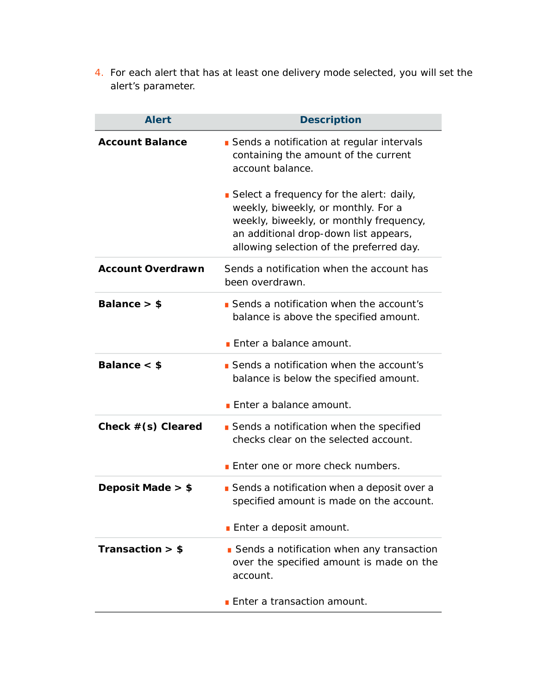4. For each alert that has at least one delivery mode selected, you will set the alert's parameter.

| <b>Alert</b>             | <b>Description</b>                                                                                                                                                                                              |
|--------------------------|-----------------------------------------------------------------------------------------------------------------------------------------------------------------------------------------------------------------|
| <b>Account Balance</b>   | Sends a notification at regular intervals<br>containing the amount of the current<br>account balance.                                                                                                           |
|                          | Select a frequency for the alert: daily,<br>weekly, biweekly, or monthly. For a<br>weekly, biweekly, or monthly frequency,<br>an additional drop-down list appears,<br>allowing selection of the preferred day. |
| <b>Account Overdrawn</b> | Sends a notification when the account has<br>been overdrawn.                                                                                                                                                    |
| Balance $>$ \$           | Sends a notification when the account's<br>balance is above the specified amount.                                                                                                                               |
|                          | Enter a balance amount.                                                                                                                                                                                         |
| Balance $<$ \$           | Sends a notification when the account's<br>balance is below the specified amount.                                                                                                                               |
|                          | <b>Enter a balance amount.</b>                                                                                                                                                                                  |
| Check $#(s)$ Cleared     | Sends a notification when the specified<br>checks clear on the selected account.                                                                                                                                |
|                          | <b>Enter one or more check numbers.</b>                                                                                                                                                                         |
| Deposit Made $>$ \$      | Sends a notification when a deposit over a<br>specified amount is made on the account.                                                                                                                          |
|                          | <b>Enter a deposit amount.</b>                                                                                                                                                                                  |
| Transaction $>$ \$       | Sends a notification when any transaction<br>over the specified amount is made on the<br>account.                                                                                                               |
|                          | <b>Enter a transaction amount.</b>                                                                                                                                                                              |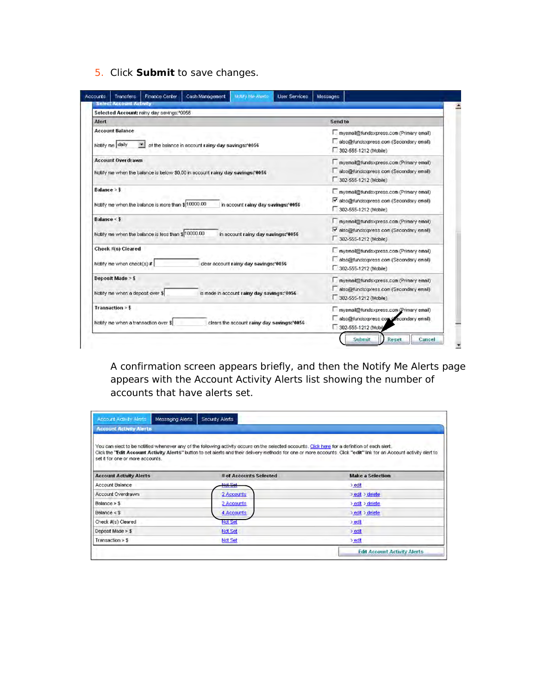5. Click **Submit** to save changes.

| Selected Account: rainy day savings:*0056                                      |                                          |
|--------------------------------------------------------------------------------|------------------------------------------|
| Alert                                                                          | Send to                                  |
| <b>Account Balance</b>                                                         | myemail@fundsxpress.com (Primary email)  |
| Notify me daily                                                                | also@fundsxpress.com (Secondary email)   |
| of the balance in account rainy day savings:'0056                              | 302-555-1212 (Mobile)                    |
| <b>Account Overdrawn</b>                                                       | myemail@fundsxpress.com (Primary email)  |
| Notify me when the balance is below \$0.00 in account rainy day savings: '0056 | also@fundsxpress.com (Secondary email)   |
|                                                                                | 302-555-1212 (Mobile)                    |
| Balance > \$                                                                   | myemail@fundsxpress.com (Primary email)  |
| Notify me when the balance is more than \$ 10000.00                            | v also@fundsxpress.com (Secondary email) |
| in account rainy day savings:'0056                                             | 302-555-1212 (Mobile)                    |
| Balance <                                                                      | myemail@fundsxpress.com (Primary email)  |
| Notify me when the balance is less than \$10000.00                             | v also@fundsxpress.com (Secondary email) |
| in account rainy day savings:'0056                                             | 302-555-1212 (Mobile)                    |
| Check #(s) Cleared                                                             | myemail@fundsxpress.com (Primary email)  |
| Notify me when check(s) $#$                                                    | also@fundsxpress.com (Secondary email)   |
| clear account rainy day savings:'0056                                          | 302-555-1212 (Mobile)                    |
| Deposit Made > \$                                                              | myernail@fundsxpress.com (Primary email) |
| Notify me when a deposit over \$                                               | also@fundsxpress.com (Secondary email)   |
| is made in account rainy day savings:'0056                                     | 302-555-1212 (Mobile)                    |
| Transaction > \$                                                               | myemail@fundsxpress.com (Primary email)  |
| Notify me when a transaction over \$                                           | also@fundsxpress.com (Zecondary email)   |
| clears the account rainy day savings:'0056                                     | 302-555-1212 (Mobile                     |

*A confirmation screen appears briefly, and then the Notify Me Alerts page appears with the Account Activity Alerts list showing the number of accounts that have alerts set*.

| <b>Account Activity Alerts</b><br>Messaging Alerts | Security Alerts                                                                                                                                                                                                                                                                                                          |                                     |
|----------------------------------------------------|--------------------------------------------------------------------------------------------------------------------------------------------------------------------------------------------------------------------------------------------------------------------------------------------------------------------------|-------------------------------------|
| <b>Account Activity Alerts</b>                     |                                                                                                                                                                                                                                                                                                                          |                                     |
| set it for one or more accounts.                   | You can elect to be notified whenever any of the following activity occurs on the selected accounts. Click here for a definition of each alert.<br>Click the "Edit Account Activity Alerts" button to set alerts and their delivery methods for one or more accounts. Click "edit" link for an Account activity alert to |                                     |
| <b>Account Activity Alerts</b>                     | # of Accounts Selected                                                                                                                                                                                                                                                                                                   | <b>Make a Selection</b>             |
| Account Balance                                    | Not Set                                                                                                                                                                                                                                                                                                                  | $>$ edit                            |
| Account Overdrawn                                  | 2 Accounts                                                                                                                                                                                                                                                                                                               | > edit > delete                     |
| Balance > \$                                       | 2 Accounts                                                                                                                                                                                                                                                                                                               | edit > delete                       |
| Balance < \$                                       | 4 Accounts                                                                                                                                                                                                                                                                                                               | b edit b delete                     |
| Check #(s) Cleared                                 | Not Set                                                                                                                                                                                                                                                                                                                  | edit                                |
| Deposit Made $>$ \$                                | Not Set                                                                                                                                                                                                                                                                                                                  | > edit                              |
| Transaction > \$                                   | Not Set                                                                                                                                                                                                                                                                                                                  | $>$ edit                            |
|                                                    |                                                                                                                                                                                                                                                                                                                          | <b>Edit Account Activity Alerts</b> |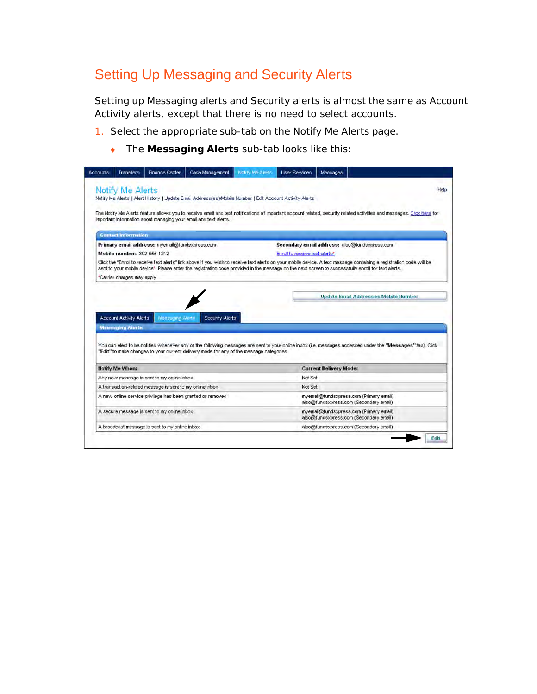## Setting Up Messaging and Security Alerts

Setting up Messaging alerts and Security alerts is almost the same as Account Activity alerts, except that there is no need to select accounts.

- 1. Select the appropriate sub-tab on the Notify Me Alerts page.
	- ◆ The **Messaging Alerts** sub-tab looks like this:

| Transfers                      | <b>Finance Center</b>                                    | Cash Management                                                                                          | Notify Me Alerts | <b>User Services</b>           | Messages                      |                                                                                                                                                                                                                                                                                                                                         |
|--------------------------------|----------------------------------------------------------|----------------------------------------------------------------------------------------------------------|------------------|--------------------------------|-------------------------------|-----------------------------------------------------------------------------------------------------------------------------------------------------------------------------------------------------------------------------------------------------------------------------------------------------------------------------------------|
| Notify Me Alerts               |                                                          | Notify Me Alerts   Alert History   Update Email Address(es)/Mobile Number   Edit Account Activity Alerts |                  |                                |                               | Help                                                                                                                                                                                                                                                                                                                                    |
|                                |                                                          | important information about managing your email and text alerts.                                         |                  |                                |                               | The Notify Me Alerts feature allows you to receive email and text notifications of important account related, security related activities and messages. Click here for                                                                                                                                                                  |
| <b>Contact Information</b>     |                                                          |                                                                                                          |                  |                                |                               |                                                                                                                                                                                                                                                                                                                                         |
|                                | Primary email address: myemail@fundsxpress.com           |                                                                                                          |                  |                                |                               | Secondary email address: also@fundsxpress.com                                                                                                                                                                                                                                                                                           |
| Mobile number: 302-555-1212    |                                                          |                                                                                                          |                  | Enroll to receive text alerts" |                               |                                                                                                                                                                                                                                                                                                                                         |
|                                |                                                          |                                                                                                          |                  |                                |                               | Click the "Enroll to receive text alerts" link above if you wish to receive text alerts on your mobile device. A text message containing a registration code will be<br>sent to your mobile device <sup>s</sup> . Please enter the registration code provided in the message on the next screen to successfully enroll for text alerts. |
| *Carrier charges may apply.    |                                                          |                                                                                                          |                  |                                |                               |                                                                                                                                                                                                                                                                                                                                         |
| <b>Account Activity Alerts</b> | Moscoging Aterta                                         | Security Alerts                                                                                          |                  |                                |                               | <b>Update Email Addresses Mobile Humber</b>                                                                                                                                                                                                                                                                                             |
| <b>Messeging Alerts</b>        |                                                          | "Edit" to make changes to your current delivery mode for any of the message categories.                  |                  |                                |                               | You can elect to be notified whenever any of the following messages are sent to your online inbox (i.e. messages accessed under the "Messages" tab). Click                                                                                                                                                                              |
| <b>Hotify Me When:</b>         |                                                          |                                                                                                          |                  |                                | <b>Current Delivery Mode:</b> |                                                                                                                                                                                                                                                                                                                                         |
|                                | Any new message is sent to my online inbox               |                                                                                                          |                  | Not Set                        |                               |                                                                                                                                                                                                                                                                                                                                         |
|                                | A transaction-related message is sent to my online inbox |                                                                                                          |                  | Not Set                        |                               |                                                                                                                                                                                                                                                                                                                                         |
|                                |                                                          | A new online service privilege has been granted or removed                                               |                  |                                |                               | myemail@fundsxpress.com (Primary email)<br>also@fundsxpress.com (Secondary email)                                                                                                                                                                                                                                                       |
|                                | A secure message is sent to my online inbox              |                                                                                                          |                  |                                |                               | myemail@fundsxpress.com (Primary email)<br>also@fundsxpress.com (Secondary email)                                                                                                                                                                                                                                                       |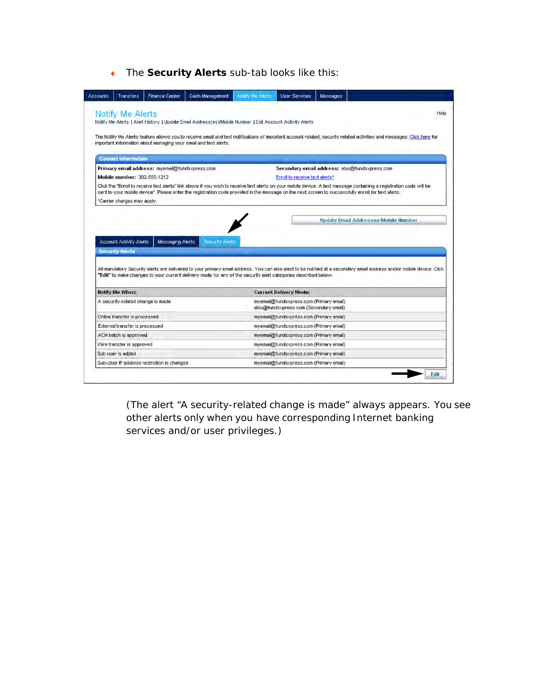◆ The **Security Alerts** sub-tab looks like this:

|                                   | <b>Finance Center</b>                          | Cash Management                                                                                                | Notify Me Aterts | <b>User Services</b>                                                              | Messages |                                                                                                                                                                                                                                                                                                                            |
|-----------------------------------|------------------------------------------------|----------------------------------------------------------------------------------------------------------------|------------------|-----------------------------------------------------------------------------------|----------|----------------------------------------------------------------------------------------------------------------------------------------------------------------------------------------------------------------------------------------------------------------------------------------------------------------------------|
| <b>Notify Me Alerts</b>           |                                                |                                                                                                                |                  |                                                                                   |          | Help                                                                                                                                                                                                                                                                                                                       |
|                                   |                                                | Notify Me Alerts   Alert History   Update Email Address(es)/Mobile Number   Edit Account Activity Alerts       |                  |                                                                                   |          |                                                                                                                                                                                                                                                                                                                            |
|                                   |                                                |                                                                                                                |                  |                                                                                   |          |                                                                                                                                                                                                                                                                                                                            |
|                                   |                                                | important information about managing your email and text alerts.                                               |                  |                                                                                   |          | The Notify Me Alerts feature allows you to receive email and text notifications of important account related, security related activities and messages. Click here for                                                                                                                                                     |
|                                   |                                                |                                                                                                                |                  |                                                                                   |          |                                                                                                                                                                                                                                                                                                                            |
| <b>Contact Information</b>        |                                                |                                                                                                                |                  |                                                                                   |          |                                                                                                                                                                                                                                                                                                                            |
|                                   | Primary email address: myemail@fundsxpress.com |                                                                                                                |                  |                                                                                   |          | Secondary email address: also@fundsxpress.com                                                                                                                                                                                                                                                                              |
| Mobile number: 302-555-1212       |                                                |                                                                                                                |                  | Enroll to receive text alerts*                                                    |          |                                                                                                                                                                                                                                                                                                                            |
|                                   |                                                |                                                                                                                |                  |                                                                                   |          | Click the "Enroll to receive text alerts" link above if you wish to receive text alerts on your mobile device. A text message containing a registration code will be<br>sent to your mobile device*. Please enter the registration code provided in the message on the next screen to successfully enroll for text alerts. |
| *Carrier charges may apply.       |                                                |                                                                                                                |                  |                                                                                   |          |                                                                                                                                                                                                                                                                                                                            |
|                                   |                                                |                                                                                                                |                  |                                                                                   |          |                                                                                                                                                                                                                                                                                                                            |
|                                   |                                                |                                                                                                                |                  |                                                                                   |          | <b>Update Email Addresses Mobile Humber</b>                                                                                                                                                                                                                                                                                |
|                                   |                                                |                                                                                                                |                  |                                                                                   |          |                                                                                                                                                                                                                                                                                                                            |
|                                   |                                                |                                                                                                                |                  |                                                                                   |          |                                                                                                                                                                                                                                                                                                                            |
|                                   |                                                |                                                                                                                |                  |                                                                                   |          |                                                                                                                                                                                                                                                                                                                            |
| <b>Account Activity Alerts</b>    | Messaging Alerts                               | Security Alerta                                                                                                |                  |                                                                                   |          |                                                                                                                                                                                                                                                                                                                            |
| <b>Security Alerts</b>            |                                                |                                                                                                                |                  |                                                                                   |          |                                                                                                                                                                                                                                                                                                                            |
|                                   |                                                |                                                                                                                |                  |                                                                                   |          |                                                                                                                                                                                                                                                                                                                            |
|                                   |                                                |                                                                                                                |                  |                                                                                   |          |                                                                                                                                                                                                                                                                                                                            |
|                                   |                                                | "Edit" to make changes to your current delivery mode for any of the security alert categories described below. |                  |                                                                                   |          |                                                                                                                                                                                                                                                                                                                            |
|                                   |                                                |                                                                                                                |                  |                                                                                   |          |                                                                                                                                                                                                                                                                                                                            |
| <b>Hotify Me When:</b>            |                                                |                                                                                                                |                  | <b>Current Delivery Mode:</b>                                                     |          |                                                                                                                                                                                                                                                                                                                            |
| A security-related change is made |                                                |                                                                                                                |                  | myemail@fundsxpress.com (Primary email)                                           |          |                                                                                                                                                                                                                                                                                                                            |
| Online transfer is processed      |                                                |                                                                                                                |                  | also@fundsxpress.com (Secondary email)<br>myemail@fundsxpress.com (Primary email) |          |                                                                                                                                                                                                                                                                                                                            |
| External transfer is processed    |                                                |                                                                                                                |                  | myemail@fundsxpress.com (Primary email)                                           |          |                                                                                                                                                                                                                                                                                                                            |
| ACH batch is approved             |                                                |                                                                                                                |                  | myemail@fundsxpress.com (Primary email)                                           |          |                                                                                                                                                                                                                                                                                                                            |
| Wire transfer is approved         |                                                |                                                                                                                |                  | myemail@fundsxpress.com (Primary email)                                           |          |                                                                                                                                                                                                                                                                                                                            |
| Sub user is added                 |                                                |                                                                                                                |                  | myemail@fundsxpress.com (Primary email)                                           |          |                                                                                                                                                                                                                                                                                                                            |
|                                   | Sub-User IP address restriction is changed     |                                                                                                                |                  | myemail@fundsxpress.com (Primary email)                                           |          | All mandatory Security alerts are delivered to your primary email address. You can also elect to be notified at a secondary email address and/or mobile device. Click                                                                                                                                                      |

(The alert "A security-related change is made" always appears. You see other alerts only when you have corresponding Internet banking services and/or user privileges.)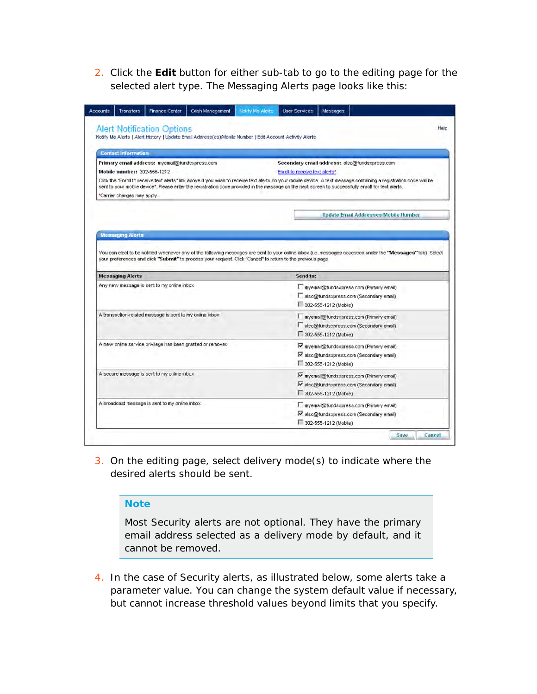2. Click the **Edit** button for either sub-tab to go to the editing page for the selected alert type. The Messaging Alerts page looks like this:

| <b>Contact Information</b>                                                                                                                                                                                                                                                                        |                                                                                                                                                                         |
|---------------------------------------------------------------------------------------------------------------------------------------------------------------------------------------------------------------------------------------------------------------------------------------------------|-------------------------------------------------------------------------------------------------------------------------------------------------------------------------|
|                                                                                                                                                                                                                                                                                                   |                                                                                                                                                                         |
| Primary email address: myenail@fundsxpress.com<br>Mobile number: 302-555-1212                                                                                                                                                                                                                     | Secondary email address: also@fundsxpress.com<br>Enroll to receive text alerts*                                                                                         |
| sent to your mobile device". Please enter the registration code provided in the message on the next screen to successfully enroll for text alerts.                                                                                                                                                | Click the "Enroll to receive text alerts" link above if you wish to receive text alerts on your mobile device. A text message containing a registration code will be    |
| *Carrier charges may apply.                                                                                                                                                                                                                                                                       |                                                                                                                                                                         |
|                                                                                                                                                                                                                                                                                                   | <b>Update Email Addresses Mobile Ilumber</b>                                                                                                                            |
|                                                                                                                                                                                                                                                                                                   |                                                                                                                                                                         |
| <b>Mensaging Alerts</b>                                                                                                                                                                                                                                                                           |                                                                                                                                                                         |
| your preferences and click "Submit" to process your request. Click "Cancel" to return to the previous page.                                                                                                                                                                                       | You can elect to be notified whenever any of the following messages are sent to your online inbox (i.e. messages accessed under the "Messages" tab). Select<br>Send to: |
|                                                                                                                                                                                                                                                                                                   |                                                                                                                                                                         |
|                                                                                                                                                                                                                                                                                                   | myemail@fundsxpress.com (Primary email)<br>also@fundsxpress.com (Secondary email)                                                                                       |
|                                                                                                                                                                                                                                                                                                   | 302-555-1212 (Mobile)                                                                                                                                                   |
|                                                                                                                                                                                                                                                                                                   | myemail@fundsxpress.com (Primary email)                                                                                                                                 |
|                                                                                                                                                                                                                                                                                                   | also@fundsxpress.com (Secondary email)                                                                                                                                  |
|                                                                                                                                                                                                                                                                                                   | 302-555-1212 (Mobile)                                                                                                                                                   |
|                                                                                                                                                                                                                                                                                                   | myemail@fundsxpress.com (Primary email)                                                                                                                                 |
|                                                                                                                                                                                                                                                                                                   | v also@fundsxpress.com (Secondary email)                                                                                                                                |
|                                                                                                                                                                                                                                                                                                   | 302-555-1212 (Mobile)                                                                                                                                                   |
|                                                                                                                                                                                                                                                                                                   | Ⅳ myernail@fundsxpress.com (Primary email)                                                                                                                              |
|                                                                                                                                                                                                                                                                                                   | valso@fundsxpress.com (Secondary email)                                                                                                                                 |
|                                                                                                                                                                                                                                                                                                   | 302-555-1212 (Mobile)                                                                                                                                                   |
| <b>Messaging Alerts</b><br>Any new message is sent to my online inbox<br>A transaction-related message is sent to my online inbox<br>A new online service privilege has been granted or removed<br>A secure message is sent to my online inbox.<br>A broadcast message is sent to my online inbox | myemail@fundsxpress.com (Primary email)<br>v also@fundsxpress.com (Secondary email)                                                                                     |

3. On the editing page, select delivery mode(s) to indicate where the desired alerts should be sent.

#### **Note**

Most Security alerts are not optional. They have the primary email address selected as a delivery mode by default, and it cannot be removed.

4. In the case of Security alerts, as illustrated below, some alerts take a parameter value. You can change the system default value if necessary, but cannot increase threshold values beyond limits that you specify.